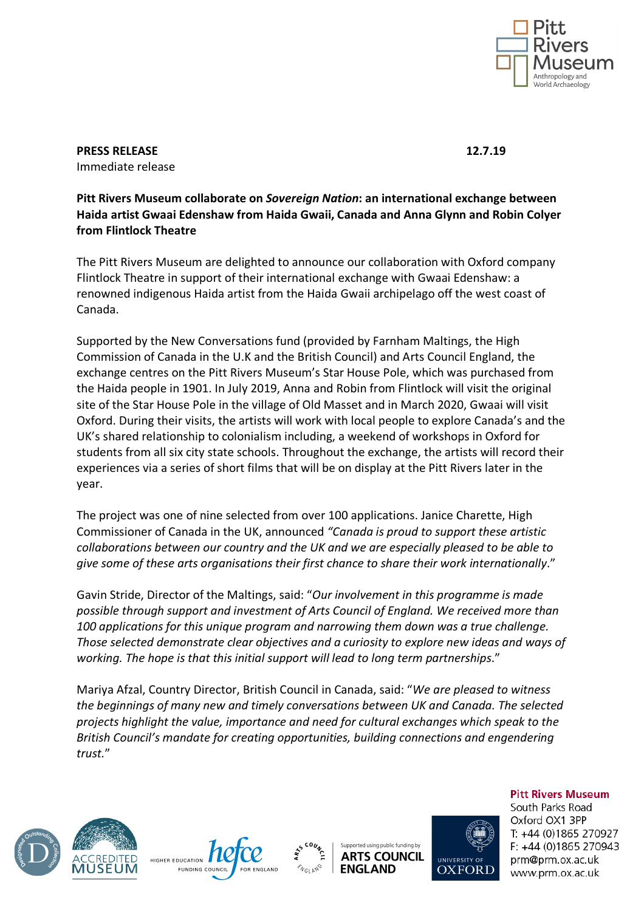

**PRESS RELEASE 12.7.19** Immediate release

## **Pitt Rivers Museum collaborate on** *Sovereign Nation***: an international exchange between Haida artist Gwaai Edenshaw from Haida Gwaii, Canada and Anna Glynn and Robin Colyer from Flintlock Theatre**

The Pitt Rivers Museum are delighted to announce our collaboration with Oxford company Flintlock Theatre in support of their international exchange with Gwaai Edenshaw: a renowned indigenous Haida artist from the Haida Gwaii archipelago off the west coast of Canada.

Supported by the New Conversations fund (provided by Farnham Maltings, the High Commission of Canada in the U.K and the British Council) and Arts Council England, the exchange centres on the Pitt Rivers Museum's Star House Pole, which was purchased from the Haida people in 1901. In July 2019, Anna and Robin from Flintlock will visit the original site of the Star House Pole in the village of Old Masset and in March 2020, Gwaai will visit Oxford. During their visits, the artists will work with local people to explore Canada's and the UK's shared relationship to colonialism including, a weekend of workshops in Oxford for students from all six city state schools. Throughout the exchange, the artists will record their experiences via a series of short films that will be on display at the Pitt Rivers later in the year.

The project was one of nine selected from over 100 applications. Janice Charette, High Commissioner of Canada in the UK, announced *"Canada is proud to support these artistic collaborations between our country and the UK and we are especially pleased to be able to give some of these arts organisations their first chance to share their work internationally*."

Gavin Stride, Director of the Maltings, said: "*Our involvement in this programme is made possible through support and investment of Arts Council of England. We received more than 100 applications for this unique program and narrowing them down was a true challenge. Those selected demonstrate clear objectives and a curiosity to explore new ideas and ways of working. The hope is that this initial support will lead to long term partnerships*."

Mariya Afzal, Country Director, British Council in Canada, said: "*We are pleased to witness the beginnings of many new and timely conversations between UK and Canada. The selected projects highlight the value, importance and need for cultural exchanges which speak to the British Council's mandate for creating opportunities, building connections and engendering trust.*"







Supported using public funding by **ARTS COUNCIL ENGLAND** 



**Pitt Rivers Museum** South Parks Road Oxford OX1 3PP T: +44 (0)1865 270927  $F. +44(0)1865270943$ prm@prm.ox.ac.uk www.prm.ox.ac.uk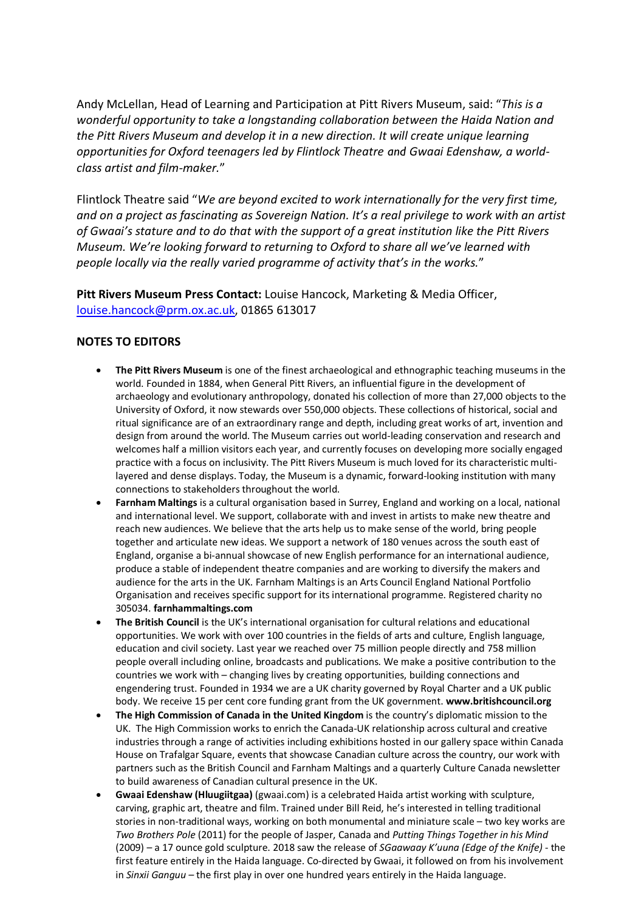Andy McLellan, Head of Learning and Participation at Pitt Rivers Museum, said: "*This is a wonderful opportunity to take a longstanding collaboration between the Haida Nation and the Pitt Rivers Museum and develop it in a new direction. It will create unique learning opportunities for Oxford teenagers led by Flintlock Theatre and Gwaai Edenshaw, a worldclass artist and film-maker.*"

Flintlock Theatre said "*We are beyond excited to work internationally for the very first time, and on a project as fascinating as Sovereign Nation. It's a real privilege to work with an artist of Gwaai's stature and to do that with the support of a great institution like the Pitt Rivers Museum. We're looking forward to returning to Oxford to share all we've learned with people locally via the really varied programme of activity that's in the works.*"

**Pitt Rivers Museum Press Contact:** Louise Hancock, Marketing & Media Officer, louise.hancock@prm.ox.ac.uk, 01865 613017

## **NOTES TO EDITORS**

- **The Pitt Rivers Museum** is one of the finest archaeological and ethnographic teaching museums in the world. Founded in 1884, when General Pitt Rivers, an influential figure in the development of archaeology and evolutionary anthropology, donated his collection of more than 27,000 objects to the University of Oxford, it now stewards over 550,000 objects. These collections of historical, social and ritual significance are of an extraordinary range and depth, including great works of art, invention and design from around the world. The Museum carries out world-leading conservation and research and welcomes half a million visitors each year, and currently focuses on developing more socially engaged practice with a focus on inclusivity. The Pitt Rivers Museum is much loved for its characteristic multilayered and dense displays. Today, the Museum is a dynamic, forward-looking institution with many connections to stakeholders throughout the world.
- **Farnham Maltings** is a cultural organisation based in Surrey, England and working on a local, national and international level. We support, collaborate with and invest in artists to make new theatre and reach new audiences. We believe that the arts help us to make sense of the world, bring people together and articulate new ideas. We support a network of 180 venues across the south east of England, organise a bi-annual showcase of new English performance for an international audience, produce a stable of independent theatre companies and are working to diversify the makers and audience for the arts in the UK. Farnham Maltings is an Arts Council England National Portfolio Organisation and receives specific support for its international programme. Registered charity no 305034. **farnhammaltings.com**
- **The British Council** is the UK's international organisation for cultural relations and educational opportunities. We work with over 100 countries in the fields of arts and culture, English language, education and civil society. Last year we reached over 75 million people directly and 758 million people overall including online, broadcasts and publications. We make a positive contribution to the countries we work with – changing lives by creating opportunities, building connections and engendering trust. Founded in 1934 we are a UK charity governed by Royal Charter and a UK public body. We receive 15 per cent core funding grant from the UK government. **www.britishcouncil.org**
- **The High Commission of Canada in the United Kingdom** is the country's diplomatic mission to the UK. The High Commission works to enrich the Canada-UK relationship across cultural and creative industries through a range of activities including exhibitions hosted in our gallery space within Canada House on Trafalgar Square, events that showcase Canadian culture across the country, our work with partners such as the British Council and Farnham Maltings and a quarterly Culture Canada newsletter to build awareness of Canadian cultural presence in the UK.
- **Gwaai Edenshaw (Hluugiitgaa)** (gwaai.com) is a celebrated Haida artist working with sculpture, carving, graphic art, theatre and film. Trained under Bill Reid, he's interested in telling traditional stories in non-traditional ways, working on both monumental and miniature scale – two key works are *Two Brothers Pole* (2011) for the people of Jasper, Canada and *Putting Things Together in his Mind*  (2009) – a 17 ounce gold sculpture. 2018 saw the release of *SGaawaay K'uuna (Edge of the Knife)* - the first feature entirely in the Haida language. Co-directed by Gwaai, it followed on from his involvement in *Sinxii Ganguu –* the first play in over one hundred years entirely in the Haida language.